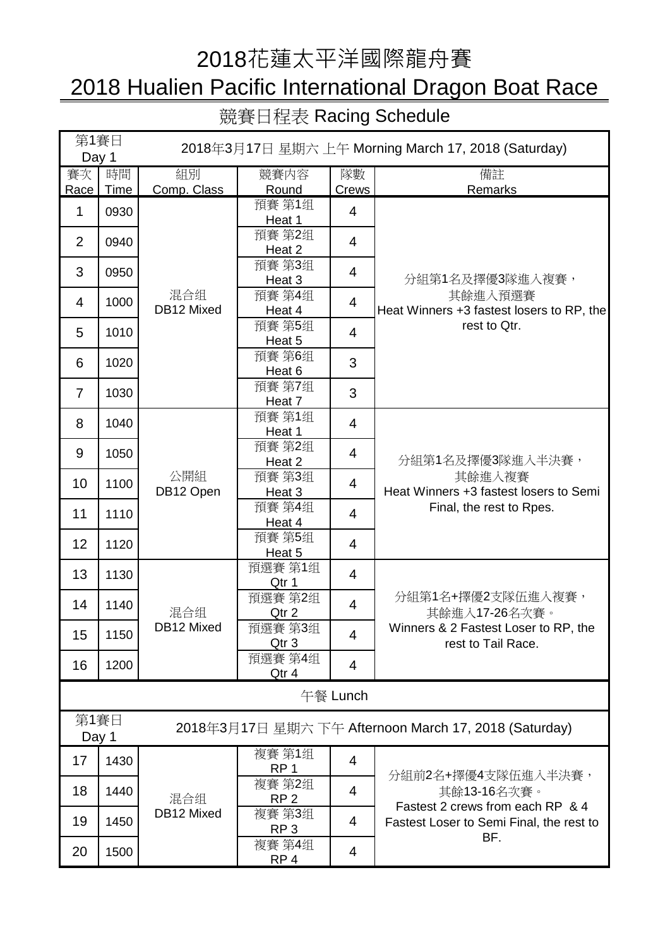## 2018花蓮太平洋國際龍舟賽

# 2018 Hualien Pacific International Dragon Boat Race

競賽日程表 Racing Schedule

| 第1賽日<br>Day 1  |            | 2018年3月17日 星期六 上午 Morning March 17, 2018 (Saturday)   |                           |                |                                                                                                                          |  |  |  |
|----------------|------------|-------------------------------------------------------|---------------------------|----------------|--------------------------------------------------------------------------------------------------------------------------|--|--|--|
| 賽次<br>Race     | 時間<br>Time | 組別<br>Comp. Class                                     | 競賽内容<br>Round             | 隊數<br>Crews    | 備註<br>Remarks                                                                                                            |  |  |  |
| $\mathbf{1}$   | 0930       | 混合组<br>DB12 Mixed                                     | 預賽 第1组<br>Heat 1          | 4              | 分組第1名及擇優3隊進入複賽,<br>其餘進入預選賽<br>Heat Winners +3 fastest losers to RP, the<br>rest to Qtr.                                  |  |  |  |
| $\overline{2}$ | 0940       |                                                       | 預賽 第2组<br>Heat 2          | $\overline{4}$ |                                                                                                                          |  |  |  |
| 3              | 0950       |                                                       | 預賽 第3组<br>Heat 3          | 4              |                                                                                                                          |  |  |  |
| 4              | 1000       |                                                       | 預賽 第4组<br>Heat 4          | $\overline{4}$ |                                                                                                                          |  |  |  |
| 5              | 1010       |                                                       | 預賽 第5组<br>Heat 5          | 4              |                                                                                                                          |  |  |  |
| 6              | 1020       |                                                       | 預賽 第6组<br>Heat 6          | 3              |                                                                                                                          |  |  |  |
| $\overline{7}$ | 1030       |                                                       | 預賽 第7组<br>Heat 7          | 3              |                                                                                                                          |  |  |  |
| 8              | 1040       | 公開組<br>DB12 Open                                      | 預賽 第1组<br>Heat 1          | 4              |                                                                                                                          |  |  |  |
| 9              | 1050       |                                                       | 預賽 第2组<br>Heat 2          | 4              | 分組第1名及擇優3隊進入半決賽,<br>其餘進入複賽<br>Heat Winners +3 fastest losers to Semi<br>Final, the rest to Rpes.                         |  |  |  |
| 10             | 1100       |                                                       | 預賽 第3组<br>Heat 3          | 4              |                                                                                                                          |  |  |  |
| 11             | 1110       |                                                       | 預賽 第4组<br>Heat 4          | 4              |                                                                                                                          |  |  |  |
| 12             | 1120       |                                                       | 預賽 第5组<br>Heat 5          | 4              |                                                                                                                          |  |  |  |
| 13             | 1130       | 混合组<br>DB12 Mixed                                     | 預選賽 第1组<br>Qtr 1          | 4              |                                                                                                                          |  |  |  |
| 14             | 1140       |                                                       | 預選賽 第2组<br>Qtr 2          | 4              | 分組第1名+擇優2支隊伍進入複賽,<br>其餘進入17-26名次賽。<br>Winners & 2 Fastest Loser to RP, the<br>rest to Tail Race.                         |  |  |  |
| 15             | 1150       |                                                       | 預選賽 第3组<br>Qtr 3          | 4              |                                                                                                                          |  |  |  |
| 16             | 1200       |                                                       | 預選賽 第4组<br>Qtr 4          | 4              |                                                                                                                          |  |  |  |
| 午餐 Lunch       |            |                                                       |                           |                |                                                                                                                          |  |  |  |
| 第1賽日<br>Day 1  |            | 2018年3月17日 星期六 下午 Afternoon March 17, 2018 (Saturday) |                           |                |                                                                                                                          |  |  |  |
| 17             | 1430       | 混合组<br>DB12 Mixed                                     | 複賽 第1组<br>RP <sub>1</sub> | 4              | 分組前2名+擇優4支隊伍進入半決賽,<br>其餘13-16名次賽。<br>Fastest 2 crews from each RP & 4<br>Fastest Loser to Semi Final, the rest to<br>BF. |  |  |  |
| 18             | 1440       |                                                       | 複賽 第2组<br>RP <sub>2</sub> | 4              |                                                                                                                          |  |  |  |
| 19             | 1450       |                                                       | 複賽 第3组<br>RP <sub>3</sub> | 4              |                                                                                                                          |  |  |  |
| 20             | 1500       |                                                       | 複賽 第4组<br>RP <sub>4</sub> | 4              |                                                                                                                          |  |  |  |